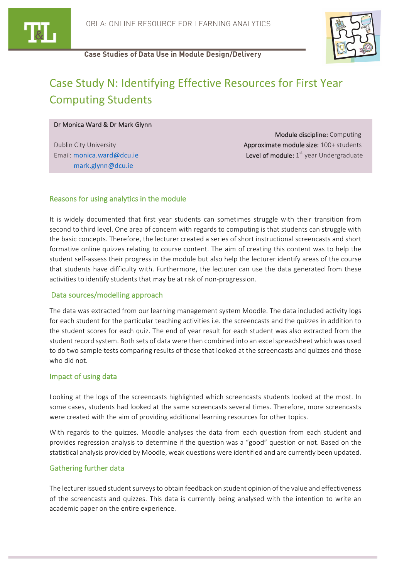



**Case Studies of Data Use in Module Design/Delivery**

# Case Study N: Identifying Effective Resources for First Year Computing Students

#### Dr Monica Ward & Dr Mark Glynn

mark.glynn@dcu.ie

Module discipline: Computing Dublin City University **Approximate module size:** 100+ students Email: monica.ward@dcu.ie  $\blacksquare$   $\blacksquare$   $\blacksquare$   $\blacksquare$   $\blacksquare$   $\blacksquare$   $\blacksquare$   $\blacksquare$   $\blacksquare$   $\blacksquare$   $\blacksquare$   $\blacksquare$   $\blacksquare$   $\blacksquare$   $\blacksquare$   $\blacksquare$   $\blacksquare$   $\blacksquare$   $\blacksquare$   $\blacksquare$   $\blacksquare$   $\blacksquare$   $\blacksquare$   $\blacksquare$   $\blacksquare$   $\blacksquare$   $\blacksquare$   $\blacksquare$ 

## Reasons for using analytics in the module

It is widely documented that first year students can sometimes struggle with their transition from second to third level. One area of concern with regards to computing is that students can struggle with the basic concepts. Therefore, the lecturer created a series of short instructional screencasts and short formative online quizzes relating to course content. The aim of creating this content was to help the student self-assess their progress in the module but also help the lecturer identify areas of the course that students have difficulty with. Furthermore, the lecturer can use the data generated from these activities to identify students that may be at risk of non-progression.

### Data sources/modelling approach

The data was extracted from our learning management system Moodle. The data included activity logs for each student for the particular teaching activities i.e. the screencasts and the quizzes in addition to the student scores for each quiz. The end of year result for each student was also extracted from the student record system. Both sets of data were then combined into an excel spreadsheet which was used to do two sample tests comparing results of those that looked at the screencasts and quizzes and those who did not.

### Impact of using data

Looking at the logs of the screencasts highlighted which screencasts students looked at the most. In some cases, students had looked at the same screencasts several times. Therefore, more screencasts were created with the aim of providing additional learning resources for other topics.

With regards to the quizzes. Moodle analyses the data from each question from each student and provides regression analysis to determine if the question was a "good" question or not. Based on the statistical analysis provided by Moodle, weak questions were identified and are currently been updated.

### Gathering further data

The lecturer issued student surveys to obtain feedback on student opinion of the value and effectiveness of the screencasts and quizzes. This data is currently being analysed with the intention to write an academic paper on the entire experience.